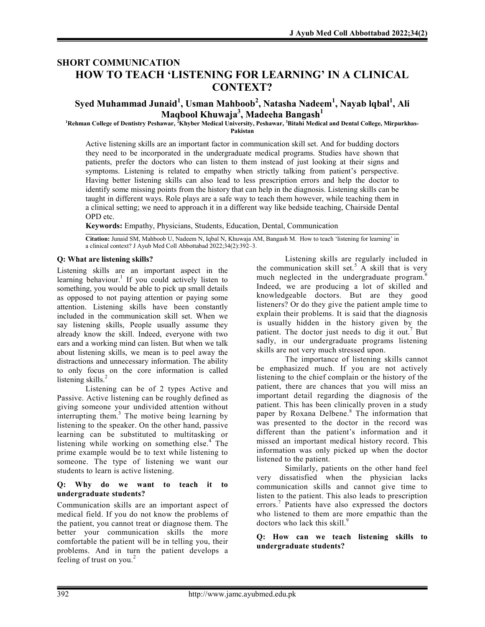# SHORT COMMUNICATION HOW TO TEACH 'LISTENING FOR LEARNING' IN A CLINICAL CONTEXT?

# Syed Muhammad Junaid $^1$ , Usman Mahboob $^2$ , Natasha Nadeem $^1$ , Nayab lqbal $^1$ , Ali Maqbool Khuwaja $^3,$  Madeeha Bangash $^1$

<sup>1</sup>Rehman College of Dentistry Peshawar, <sup>2</sup>Khyber Medical University, Peshawar, <sup>3</sup>Bitahi Medical and Dental College, Mirpurkhas-

Pakistan

Active listening skills are an important factor in communication skill set. And for budding doctors they need to be incorporated in the undergraduate medical programs. Studies have shown that patients, prefer the doctors who can listen to them instead of just looking at their signs and symptoms. Listening is related to empathy when strictly talking from patient's perspective. Having better listening skills can also lead to less prescription errors and help the doctor to identify some missing points from the history that can help in the diagnosis. Listening skills can be taught in different ways. Role plays are a safe way to teach them however, while teaching them in a clinical setting; we need to approach it in a different way like bedside teaching, Chairside Dental OPD etc.

Keywords: Empathy, Physicians, Students, Education, Dental, Communication

Citation: Junaid SM, Mahboob U, Nadeem N, Iqbal N, Khuwaja AM, Bangash M. How to teach 'listening for learning' in a clinical context? J Ayub Med Coll Abbottabad 2022;34(2):392–3.

# Q: What are listening skills?

Listening skills are an important aspect in the learning behaviour.<sup>1</sup> If you could actively listen to something, you would be able to pick up small details as opposed to not paying attention or paying some attention. Listening skills have been constantly included in the communication skill set. When we say listening skills, People usually assume they already know the skill. Indeed, everyone with two ears and a working mind can listen. But when we talk about listening skills, we mean is to peel away the distractions and unnecessary information. The ability to only focus on the core information is called listening skills. $2$ 

Listening can be of 2 types Active and Passive. Active listening can be roughly defined as giving someone your undivided attention without interrupting them.<sup>3</sup> The motive being learning by listening to the speaker. On the other hand, passive learning can be substituted to multitasking or listening while working on something else.<sup>4</sup> The prime example would be to text while listening to someone. The type of listening we want our students to learn is active listening.

### Q: Why do we want to teach it to undergraduate students?

Communication skills are an important aspect of medical field. If you do not know the problems of the patient, you cannot treat or diagnose them. The better your communication skills the more comfortable the patient will be in telling you, their problems. And in turn the patient develops a feeling of trust on you. $2$ 

Listening skills are regularly included in the communication skill set.<sup>5</sup> A skill that is very much neglected in the undergraduate program. $6$ Indeed, we are producing a lot of skilled and knowledgeable doctors. But are they good listeners? Or do they give the patient ample time to explain their problems. It is said that the diagnosis is usually hidden in the history given by the patient. The doctor just needs to dig it out.<sup>7</sup> But sadly, in our undergraduate programs listening skills are not very much stressed upon.

The importance of listening skills cannot be emphasized much. If you are not actively listening to the chief complain or the history of the patient, there are chances that you will miss an important detail regarding the diagnosis of the patient. This has been clinically proven in a study paper by Roxana Delbene.<sup>8</sup> The information that was presented to the doctor in the record was different than the patient's information and it missed an important medical history record. This information was only picked up when the doctor listened to the patient.

Similarly, patients on the other hand feel very dissatisfied when the physician lacks communication skills and cannot give time to listen to the patient. This also leads to prescription errors.<sup>7</sup> Patients have also expressed the doctors who listened to them are more empathic than the doctors who lack this skill.<sup>9</sup>

### Q: How can we teach listening skills to undergraduate students?